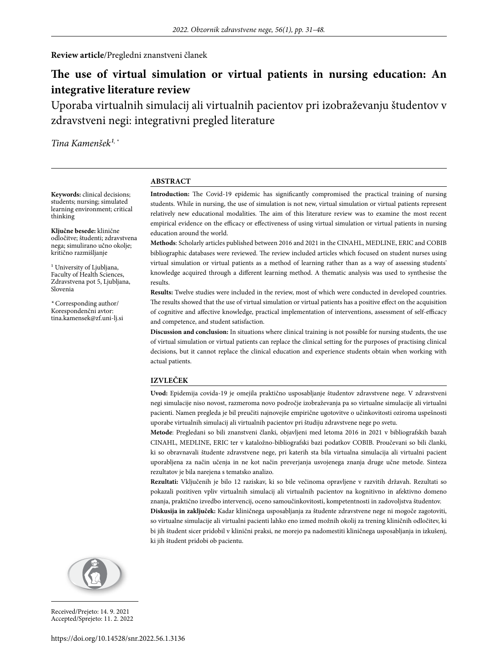**Review article**/Pregledni znanstveni članek

# **The use of virtual simulation or virtual patients in nursing education: An integrative literature review**

Uporaba virtualnih simulacij ali virtualnih pacientov pri izobraževanju študentov v zdravstveni negi: integrativni pregled literature

Tina Kamenšek<sup>1,\*</sup>

#### **ABSTRACT**

**Keywords:** clinical decisions; students; nursing; simulated learning environment; critical thinking

**Ključne besede:** klinične odločitve; študenti; zdravstvena nega; simulirano učno okolje; kritično razmišljanje

<sup>1</sup> University of Ljubljana, Faculty of Health Sciences, Zdravstvena pot 5, Ljubljana, Slovenia

*\** Corresponding author/ Korespondenčni avtor: tina.kamensek@zf.uni-lj.si **Introduction:** The Covid-19 epidemic has significantly compromised the practical training of nursing students. While in nursing, the use of simulation is not new, virtual simulation or virtual patients represent relatively new educational modalities. The aim of this literature review was to examine the most recent empirical evidence on the efficacy or effectiveness of using virtual simulation or virtual patients in nursing education around the world.

**Methods**: Scholarly articles published between 2016 and 2021 in the CINAHL, MEDLINE, ERIC and COBIB bibliographic databases were reviewed. The review included articles which focused on student nurses using virtual simulation or virtual patients as a method of learning rather than as a way of assessing students' knowledge acquired through a different learning method. A thematic analysis was used to synthesise the results.

**Results:** Twelve studies were included in the review, most of which were conducted in developed countries. The results showed that the use of virtual simulation or virtual patients has a positive effect on the acquisition of cognitive and affective knowledge, practical implementation of interventions, assessment of self-efficacy and competence, and student satisfaction.

**Discussion and conclusion:** In situations where clinical training is not possible for nursing students, the use of virtual simulation or virtual patients can replace the clinical setting for the purposes of practising clinical decisions, but it cannot replace the clinical education and experience students obtain when working with actual patients.

#### **IZVLEČEK**

**Uvod:** Epidemija covida-19 je omejila praktično usposabljanje študentov zdravstvene nege. V zdravstveni negi simulacije niso novost, razmeroma novo področje izobraževanja pa so virtualne simulacije ali virtualni pacienti. Namen pregleda je bil preučiti najnovejše empirične ugotovitve o učinkovitosti oziroma uspešnosti uporabe virtualnih simulacij ali virtualnih pacientov pri študiju zdravstvene nege po svetu.

**Metode**: Pregledani so bili znanstveni članki, objavljeni med letoma 2016 in 2021 v bibliografskih bazah CINAHL, MEDLINE, ERIC ter v kataložno-bibliografski bazi podatkov COBIB. Proučevani so bili članki, ki so obravnavali študente zdravstvene nege, pri katerih sta bila virtualna simulacija ali virtualni pacient uporabljena za način učenja in ne kot način preverjanja usvojenega znanja druge učne metode. Sinteza rezultatov je bila narejena s tematsko analizo.

**Rezultati:** Vključenih je bilo 12 raziskav, ki so bile večinoma opravljene v razvitih državah. Rezultati so pokazali pozitiven vpliv virtualnih simulacij ali virtualnih pacientov na kognitivno in afektivno domeno znanja, praktično izvedbo intervencij, oceno samoučinkovitosti, kompetentnosti in zadovoljstva študentov.

**Diskusija in zaključek:** Kadar kliničnega usposabljanja za študente zdravstvene nege ni mogoče zagotoviti, so virtualne simulacije ali virtualni pacienti lahko eno izmed možnih okolij za trening kliničnih odločitev, ki bi jih študent sicer pridobil v klinični praksi, ne morejo pa nadomestiti kliničnega usposabljanja in izkušenj, ki jih študent pridobi ob pacientu.



Received/Prejeto: 14. 9. 2021 Accepted/Sprejeto: 11. 2. 2022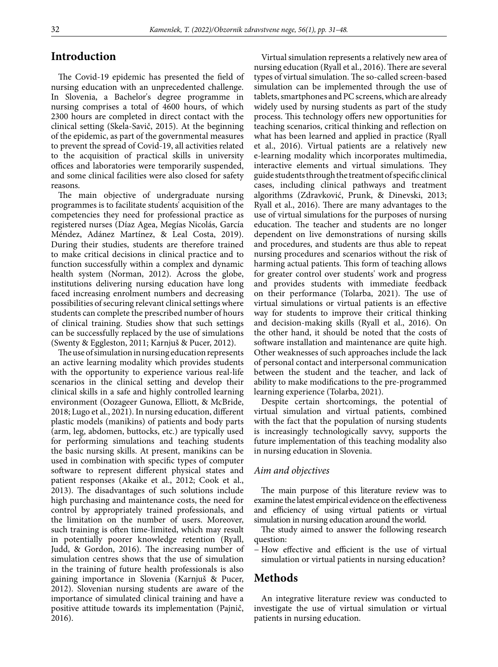### **Introduction**

The Covid-19 epidemic has presented the field of nursing education with an unprecedented challenge. In Slovenia, a Bachelor's degree programme in nursing comprises a total of 4600 hours, of which 2300 hours are completed in direct contact with the clinical setting (Skela-Savič, 2015). At the beginning of the epidemic, as part of the governmental measures to prevent the spread of Covid-19, all activities related to the acquisition of practical skills in university offices and laboratories were temporarily suspended, and some clinical facilities were also closed for safety reasons.

The main objective of undergraduate nursing programmes is to facilitate students' acquisition of the competencies they need for professional practice as registered nurses (Díaz Agea, Megías Nicolás, García Méndez, Adánez Martínez, & Leal Costa, 2019). During their studies, students are therefore trained to make critical decisions in clinical practice and to function successfully within a complex and dynamic health system (Norman, 2012). Across the globe, institutions delivering nursing education have long faced increasing enrolment numbers and decreasing possibilities of securing relevant clinical settings where students can complete the prescribed number of hours of clinical training. Studies show that such settings can be successfully replaced by the use of simulations (Swenty & Eggleston, 2011; Karnjuš & Pucer, 2012).

The use of simulation in nursing education represents an active learning modality which provides students with the opportunity to experience various real-life scenarios in the clinical setting and develop their clinical skills in a safe and highly controlled learning environment (Oozageer Gunowa, Elliott, & McBride, 2018; Lugo et al., 2021). In nursing education, different plastic models (manikins) of patients and body parts (arm, leg, abdomen, buttocks, etc.) are typically used for performing simulations and teaching students the basic nursing skills. At present, manikins can be used in combination with specific types of computer software to represent different physical states and patient responses (Akaike et al., 2012; Cook et al., 2013). The disadvantages of such solutions include high purchasing and maintenance costs, the need for control by appropriately trained professionals, and the limitation on the number of users. Moreover, such training is often time-limited, which may result in potentially poorer knowledge retention (Ryall, Judd, & Gordon, 2016). The increasing number of simulation centres shows that the use of simulation in the training of future health professionals is also gaining importance in Slovenia (Karnjuš & Pucer, 2012). Slovenian nursing students are aware of the importance of simulated clinical training and have a positive attitude towards its implementation (Pajnič, 2016).

Virtual simulation represents a relatively new area of nursing education (Ryall et al., 2016). There are several types of virtual simulation. The so-called screen-based simulation can be implemented through the use of tablets, smartphones and PC screens, which are already widely used by nursing students as part of the study process. This technology offers new opportunities for teaching scenarios, critical thinking and reflection on what has been learned and applied in practice (Ryall et al., 2016). Virtual patients are a relatively new e-learning modality which incorporates multimedia, interactive elements and virtual simulations. They guide students through the treatment of specific clinical cases, including clinical pathways and treatment algorithms (Zdravković, Prunk, & Dinevski, 2013; Ryall et al., 2016). There are many advantages to the use of virtual simulations for the purposes of nursing education. The teacher and students are no longer dependent on live demonstrations of nursing skills and procedures, and students are thus able to repeat nursing procedures and scenarios without the risk of harming actual patients. This form of teaching allows for greater control over students' work and progress and provides students with immediate feedback on their performance (Tolarba, 2021). The use of virtual simulations or virtual patients is an effective way for students to improve their critical thinking and decision-making skills (Ryall et al., 2016). On the other hand, it should be noted that the costs of software installation and maintenance are quite high. Other weaknesses of such approaches include the lack of personal contact and interpersonal communication between the student and the teacher, and lack of ability to make modifications to the pre-programmed learning experience (Tolarba, 2021).

Despite certain shortcomings, the potential of virtual simulation and virtual patients, combined with the fact that the population of nursing students is increasingly technologically savvy, supports the future implementation of this teaching modality also in nursing education in Slovenia.

#### *Aim and objectives*

The main purpose of this literature review was to examine the latest empirical evidence on the effectiveness and efficiency of using virtual patients or virtual simulation in nursing education around the world.

The study aimed to answer the following research question:

− How effective and efficient is the use of virtual simulation or virtual patients in nursing education?

### **Methods**

An integrative literature review was conducted to investigate the use of virtual simulation or virtual patients in nursing education.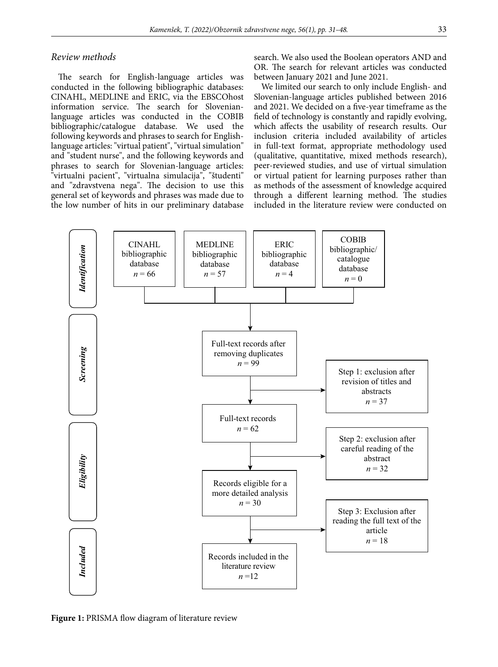#### *Review methods*

The search for English-language articles was conducted in the following bibliographic databases: CINAHL, MEDLINE and ERIC, via the EBSCOhost information service. The search for Slovenianlanguage articles was conducted in the COBIB bibliographic/catalogue database. We used the following keywords and phrases to search for Englishlanguage articles: "virtual patient", "virtual simulation" and "student nurse", and the following keywords and phrases to search for Slovenian-language articles: "virtualni pacient", "virtualna simulacija", "študenti" and "zdravstvena nega". The decision to use this general set of keywords and phrases was made due to the low number of hits in our preliminary database search. We also used the Boolean operators AND and OR. The search for relevant articles was conducted between January 2021 and June 2021.

We limited our search to only include English- and Slovenian-language articles published between 2016 and 2021. We decided on a five-year timeframe as the field of technology is constantly and rapidly evolving, which affects the usability of research results. Our inclusion criteria included availability of articles in full-text format, appropriate methodology used (qualitative, quantitative, mixed methods research), peer-reviewed studies, and use of virtual simulation or virtual patient for learning purposes rather than as methods of the assessment of knowledge acquired through a different learning method. The studies included in the literature review were conducted on



**Figure 1:** PRISMA flow diagram of literature review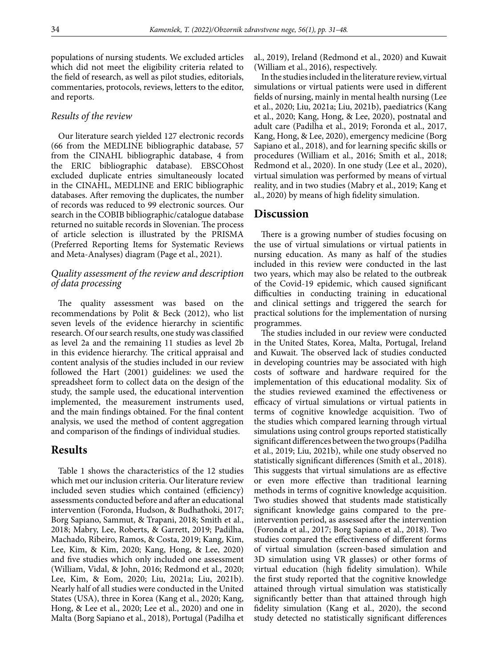populations of nursing students. We excluded articles which did not meet the eligibility criteria related to the field of research, as well as pilot studies, editorials, commentaries, protocols, reviews, letters to the editor, and reports.

#### *Results of the review*

Our literature search yielded 127 electronic records (66 from the MEDLINE bibliographic database, 57 from the CINAHL bibliographic database, 4 from the ERIC bibliographic database). EBSCOhost excluded duplicate entries simultaneously located in the CINAHL, MEDLINE and ERIC bibliographic databases. After removing the duplicates, the number of records was reduced to 99 electronic sources. Our search in the COBIB bibliographic/catalogue database returned no suitable records in Slovenian. The process of article selection is illustrated by the PRISMA (Preferred Reporting Items for Systematic Reviews and Meta-Analyses) diagram (Page et al., 2021).

#### *Quality assessment of the review and description of data processing*

The quality assessment was based on the recommendations by Polit & Beck (2012), who list seven levels of the evidence hierarchy in scientific research. Of our search results, one study was classified as level 2a and the remaining 11 studies as level 2b in this evidence hierarchy. The critical appraisal and content analysis of the studies included in our review followed the Hart (2001) guidelines: we used the spreadsheet form to collect data on the design of the study, the sample used, the educational intervention implemented, the measurement instruments used, and the main findings obtained. For the final content analysis, we used the method of content aggregation and comparison of the findings of individual studies.

### **Results**

Table 1 shows the characteristics of the 12 studies which met our inclusion criteria. Our literature review included seven studies which contained (efficiency) assessments conducted before and after an educational intervention (Foronda, Hudson, & Budhathoki, 2017; Borg Sapiano, Sammut, & Trapani, 2018; Smith et al., 2018; Mabry, Lee, Roberts, & Garrett, 2019; Padilha, Machado, Ribeiro, Ramos, & Costa, 2019; Kang, Kim, Lee, Kim, & Kim, 2020; Kang, Hong, & Lee, 2020) and five studies which only included one assessment (William, Vidal, & John, 2016; Redmond et al., 2020; Lee, Kim, & Eom, 2020; Liu, 2021a; Liu, 2021b). Nearly half of all studies were conducted in the United States (USA), three in Korea (Kang et al., 2020; Kang, Hong, & Lee et al., 2020; Lee et al., 2020) and one in Malta (Borg Sapiano et al., 2018), Portugal (Padilha et

al., 2019), Ireland (Redmond et al., 2020) and Kuwait (William et al., 2016), respectively.

In the studies included in the literature review, virtual simulations or virtual patients were used in different fields of nursing, mainly in mental health nursing (Lee et al., 2020; Liu, 2021a; Liu, 2021b), paediatrics (Kang et al., 2020; Kang, Hong, & Lee, 2020), postnatal and adult care (Padilha et al., 2019; Foronda et al., 2017, Kang, Hong, & Lee, 2020), emergency medicine (Borg Sapiano et al., 2018), and for learning specific skills or procedures (William et al., 2016; Smith et al., 2018; Redmond et al., 2020). In one study (Lee et al., 2020), virtual simulation was performed by means of virtual reality, and in two studies (Mabry et al., 2019; Kang et al., 2020) by means of high fidelity simulation.

#### **Discussion**

There is a growing number of studies focusing on the use of virtual simulations or virtual patients in nursing education. As many as half of the studies included in this review were conducted in the last two years, which may also be related to the outbreak of the Covid-19 epidemic, which caused significant difficulties in conducting training in educational and clinical settings and triggered the search for practical solutions for the implementation of nursing programmes.

The studies included in our review were conducted in the United States, Korea, Malta, Portugal, Ireland and Kuwait. The observed lack of studies conducted in developing countries may be associated with high costs of software and hardware required for the implementation of this educational modality. Six of the studies reviewed examined the effectiveness or efficacy of virtual simulations or virtual patients in terms of cognitive knowledge acquisition. Two of the studies which compared learning through virtual simulations using control groups reported statistically significant differences between the two groups (Padilha et al., 2019; Liu, 2021b), while one study observed no statistically significant differences (Smith et al., 2018). This suggests that virtual simulations are as effective or even more effective than traditional learning methods in terms of cognitive knowledge acquisition. Two studies showed that students made statistically significant knowledge gains compared to the preintervention period, as assessed after the intervention (Foronda et al., 2017; Borg Sapiano et al., 2018). Two studies compared the effectiveness of different forms of virtual simulation (screen-based simulation and 3D simulation using VR glasses) or other forms of virtual education (high fidelity simulation). While the first study reported that the cognitive knowledge attained through virtual simulation was statistically significantly better than that attained through high fidelity simulation (Kang et al., 2020), the second study detected no statistically significant differences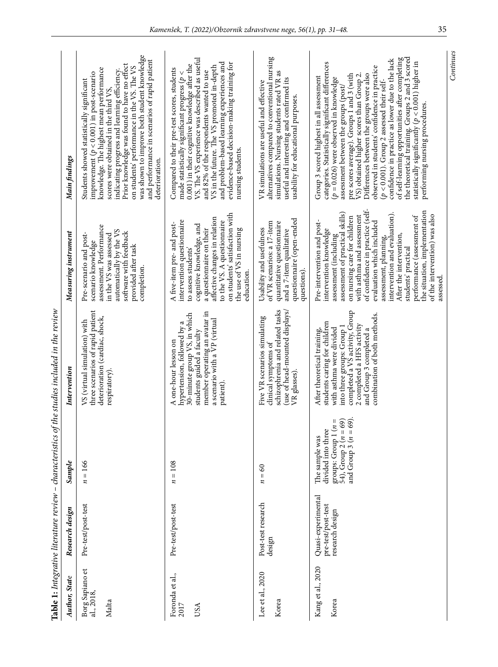|                                        |                                                             |                                                                                                                                    | Table 1: Integrative literature review - characteristics of the studies included in the review                                                                                                                                                   |                                                                                                                                                                                                                                                                                                                                                                                                                                                                          |                                                                                                                                                                                                                                                                                                                                                                                                                                                                                                                                                                                                                                                                              |
|----------------------------------------|-------------------------------------------------------------|------------------------------------------------------------------------------------------------------------------------------------|--------------------------------------------------------------------------------------------------------------------------------------------------------------------------------------------------------------------------------------------------|--------------------------------------------------------------------------------------------------------------------------------------------------------------------------------------------------------------------------------------------------------------------------------------------------------------------------------------------------------------------------------------------------------------------------------------------------------------------------|------------------------------------------------------------------------------------------------------------------------------------------------------------------------------------------------------------------------------------------------------------------------------------------------------------------------------------------------------------------------------------------------------------------------------------------------------------------------------------------------------------------------------------------------------------------------------------------------------------------------------------------------------------------------------|
| <b>Author</b> , State                  | Research design                                             | Sample                                                                                                                             | Intervention                                                                                                                                                                                                                                     | Measuring instrument                                                                                                                                                                                                                                                                                                                                                                                                                                                     | Main findings                                                                                                                                                                                                                                                                                                                                                                                                                                                                                                                                                                                                                                                                |
| Borg Sapiano et<br>al., 2018,<br>Malta | Pre-test/post-test                                          | $n = 166$                                                                                                                          | three scenarios of rapid patient<br>deterioration (cardiac, shock,<br>VS (virtual simulation) with<br>respiratory).                                                                                                                              | assessment. Performance<br>automatically by the VS<br>software with feedback<br>in the VS was assessed<br>Pre-scenario and post-<br>scenario knowledge<br>provided after task<br>completion.                                                                                                                                                                                                                                                                             | was shown to improve both student knowledge<br>and performance in scenarios of rapid patient<br>Prior knowledge was found to have no effect<br>on students' performance in the VS. The VS<br>knowledge. The highest mean performance<br>indicating progress and learning efficiency.<br>improvement $(p < 0.001)$ in post-scenario<br>Students showed statistically significant<br>scores were obtained in the third VS,<br>deterioration.                                                                                                                                                                                                                                   |
| Foronda et al.,<br>2017<br>USA         | Pre-test/post-test                                          | $= 108$<br>n                                                                                                                       | member operating an avatar in<br>30-minute group VS, in which<br>a scenario with a VP (virtual<br>hypertension, followed by a<br>students guided a faculty<br>A one-hour lesson on<br>patient).                                                  | to the VS. A questionnaire<br>on students' satisfaction with<br>affective changes in relation<br>intervention questionnaire<br>A five-item pre- and post-<br>cognitive knowledge, and<br>a questionnaire on their<br>the use of VS in nursing<br>to assess students<br>education.                                                                                                                                                                                        | VS. The VS experience was described as useful<br>and problem-based learning experiences and<br>evidence-based decision-making training for<br>0.001) in their cognitive knowledge after the<br>VS in the future. The VS promoted in-depth<br>Compared to their pre-test scores, students<br>and 82% of the respondents wanted to use<br>made statistically significant progress ( $p <$<br>nursing students.                                                                                                                                                                                                                                                                 |
| Lee et al., 2020<br>Korea              | Post-test research<br>design                                | $\boldsymbol{60}$<br>$\ensuremath{\mathsf{II}}$<br>z                                                                               | schizophrenia and related tasks<br>(use of head-mounted displays)<br>Five VR scenarios simulating<br>clinical symptoms of<br>VR glasses).                                                                                                        | questionnaire (open-ended<br>of VR scenarios: a 17-item<br>quantitative questionnaire<br>Usability and usefulness<br>and a 7-item qualitative<br>questions).                                                                                                                                                                                                                                                                                                             | alternatives compared to conventional nursing<br>simulations. Nursing students rated VR as<br>useful and interesting and confirmed its<br>VR simulations are useful and effective<br>usability for educational purposes.                                                                                                                                                                                                                                                                                                                                                                                                                                                     |
| Kang et al., 2020<br>Korea             | Quasi-experimental<br>pre-test/post-test<br>research design | 54), $\text{Group } 2(n = 69)$<br>and $\text{Group } 3(n = 69)$ .<br>groups: Group $1(n =$<br>divided into three<br>The sample was | completed a VS activity, Group<br>combination of both methods.<br>students caring for children<br>2 completed a HFS activity<br>into three groups: Group 1<br>with asthma were divided<br>After theoretical training,<br>and Group 3 completed a | of confidence in practice (self-<br>the situation, implementation<br>assessment of practical skills)<br>intervention and evaluation).<br>of the intervention) was also<br>with asthma and assessment<br>performance (assessment of<br>on nursing care for children<br>Pre-intervention and post-<br>evaluation which included<br>intervention knowledge<br>assessment (including<br>After the intervention,<br>assessment, planning,<br>students' practical<br>assessed. | the theoretical training. Groups 2 and 3 scored<br>of self-learning opportunities after completing<br>confidence in practice as lower due to the lack<br>statistically significantly ( $p < 0.001$ ) higher in<br>categories. Statistically significant differences<br>observed in students' confidence in practice<br>Differences between the groups were also<br>pre scores average). Groups I and 3 (with<br>$V$ S) obtained higher scores than Group 2<br>Group 3 scored highest in all assessment<br>$(p = 0.026)$ were observed in knowledge<br>$(p < 0.001)$ . Group 2 assessed their self-<br>assessment between the groups (post/<br>performing nursing procedures. |
|                                        |                                                             |                                                                                                                                    |                                                                                                                                                                                                                                                  |                                                                                                                                                                                                                                                                                                                                                                                                                                                                          | Continues                                                                                                                                                                                                                                                                                                                                                                                                                                                                                                                                                                                                                                                                    |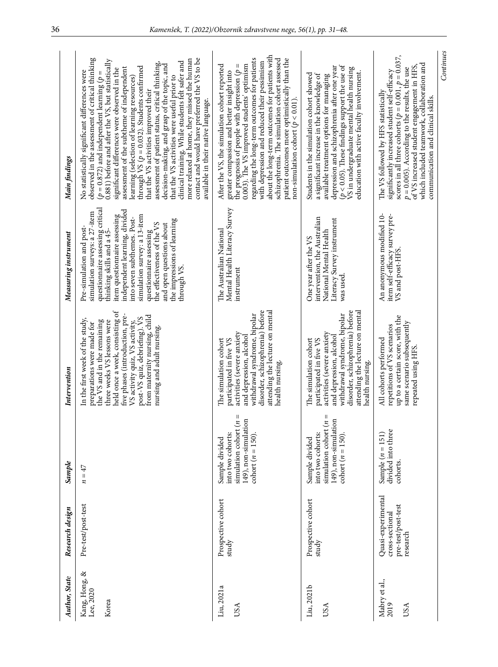| Author, State                       | Research design                                                         | Sample                                                                                                          | Intervention                                                                                                                                                                                                                                                                                                                        | Measuring instrument                                                                                                                                                                                                                                                                                                                                                                           | Main findings                                                                                                                                                                                                                                                                                                                                                                                                                                                                                                                                                                                                                                                                                                                                                                             |
|-------------------------------------|-------------------------------------------------------------------------|-----------------------------------------------------------------------------------------------------------------|-------------------------------------------------------------------------------------------------------------------------------------------------------------------------------------------------------------------------------------------------------------------------------------------------------------------------------------|------------------------------------------------------------------------------------------------------------------------------------------------------------------------------------------------------------------------------------------------------------------------------------------------------------------------------------------------------------------------------------------------|-------------------------------------------------------------------------------------------------------------------------------------------------------------------------------------------------------------------------------------------------------------------------------------------------------------------------------------------------------------------------------------------------------------------------------------------------------------------------------------------------------------------------------------------------------------------------------------------------------------------------------------------------------------------------------------------------------------------------------------------------------------------------------------------|
| Kang, Hong, &<br>Lee, 2020<br>Korea | Pre-test/post-test                                                      | $n = 47$                                                                                                        | held once a week, consisting of<br>five phases (introduction, pre-<br>from maternity nursing, child<br>post-VS quiz, debriefing). VS<br>In the first week of the study,<br>the VS and in the remaining<br>three weeks VS lessons were<br>VS activity quiz, VS activity,<br>preparations were made for<br>nursing and adult nursing. | questionnaire assessing critical<br>independent learning, divided<br>simulation surveys: a 27-item<br>item questionnaire assessing<br>simulation survey: a 13-item<br>into seven subthemes. Post-<br>the impressions of learning<br>the effectiveness of the VS<br>and open questions about<br>Pre-simulation and post-<br>thinking skills and a 45-<br>questionnaire assessing<br>through VS. | observed in the assessment of critical thinking<br>contact and would have preferred the VS to be<br>more relaxed at home, they missed the human<br>0.881) before and after the VS, but statistically<br>clinical training. While students felt safer and<br>assessment of patient status, critical thinking,<br>decision-making, and grasp of the topic, and<br>through VS $(p = 0.032)$ . Students confirmed<br>assessment of the subtheme of independent<br>significant differences were observed in the<br>No statistically significant differences were<br>$(p = 0.872)$ and independent learning $(p =$<br>that the VS activities were useful prior to<br>learning (selection of learning resources)<br>that the VS activities improved their<br>available in their native language. |
| Liu, 2021a<br>USA                   | Prospective cohort<br>study                                             | simulation cohort $(n =$<br>149), non-simulation<br>into two cohorts:<br>cohort $(n = 150)$ .<br>Sample divided | disorder, schizophrenia) before<br>attending the lecture on mental<br>withdrawal syndrome, bipolar<br>activities (severe anxiety<br>and depression, alcohol<br>participated in five VS<br>The simulation cohort<br>health nursing.                                                                                                  | Mental Health Literacy Survey<br>The Australian National<br>instrument                                                                                                                                                                                                                                                                                                                         | about the long-term outcomes for patients with<br>regarding the long-term outcomes for patients<br>schizophrenia. The simulation cohort assessed<br>patient outcomes more optimistically than the<br>with depression and reduced their pessimism<br>0.003). The VS improved students' optimism<br>After the VS, the simulation cohort reported<br>Ш<br>the prognosis of people with depression (p<br>greater compassion and better insight into<br>non-simulation cohort ( $\bar{p}$ < 0.01).                                                                                                                                                                                                                                                                                             |
| Liu, 2021b<br>USA                   | Prospective cohort<br>study                                             | simulation cohort $(n =$<br>149), non-simulation<br>into two cohorts:<br>cohort $(n = 150)$<br>Sample divided   | disorder, schizophrenia) before<br>attending the lecture on mental<br>withdrawal syndrome, bipolar<br>activities (severe anxiety<br>and depression, alcohol<br>participated in five VS<br>The simulation cohort<br>health nursing.                                                                                                  | intervention, the Australian<br>Literacy Survey instrument<br>National Mental Health<br>One year after the VS<br>was used.                                                                                                                                                                                                                                                                     | ( $p$ < 0.05). These findings support the use of<br>depression and schizophrenia after one year<br>$\sqrt{v}$ S in undergraduate mental health nursing<br>education with active faculty involvement.<br>Students in the simulation cohort showed<br>a significant increase in the knowledge of<br>available treatment options for managing                                                                                                                                                                                                                                                                                                                                                                                                                                                |
| Mabry et al.,<br>2019<br>USA        | Quasi-experimental<br>pre-test/post-test<br>cross-sectional<br>research | divided into three<br>Sample $(n = 151)$<br>cohorts.                                                            | up to a certain score, with the<br>same scenario subsequently<br>repeated using HFS.<br>repetitions of VS scenarios<br>All cohorts performed                                                                                                                                                                                        | An anonymous modified 10-<br>item self-efficacy survey pre-<br>VS and post-HFS.                                                                                                                                                                                                                                                                                                                | scores in all three cohorts ( $p = 0.001$ , $p = 0.037$ ,<br>which included teamwork, collaboration and<br>of VS increased student engagement in HFS,<br>$p = 0.005$ ). According to the results, the use<br>significantly increased student self-efficacy<br>The VS followed by HFS statistically<br>communication and clinical skills.                                                                                                                                                                                                                                                                                                                                                                                                                                                  |

*Continues*

Continues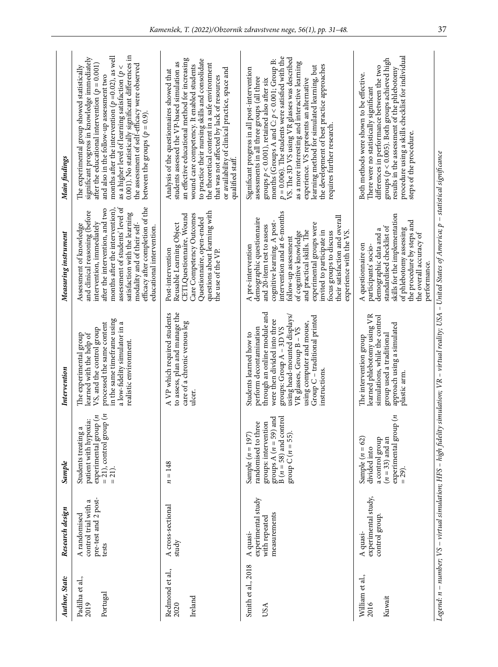| Author, State                       | Research design                                                       | Sample                                                                                                                                                | Intervention                                                                                                                                                                                                                                                                            | Measuring instrument                                                                                                                                                                                                                                                                                                                                                         | Main findings                                                                                                                                                                                                                                                                                                                                                                                                                                                                                                                   |
|-------------------------------------|-----------------------------------------------------------------------|-------------------------------------------------------------------------------------------------------------------------------------------------------|-----------------------------------------------------------------------------------------------------------------------------------------------------------------------------------------------------------------------------------------------------------------------------------------|------------------------------------------------------------------------------------------------------------------------------------------------------------------------------------------------------------------------------------------------------------------------------------------------------------------------------------------------------------------------------|---------------------------------------------------------------------------------------------------------------------------------------------------------------------------------------------------------------------------------------------------------------------------------------------------------------------------------------------------------------------------------------------------------------------------------------------------------------------------------------------------------------------------------|
| Padilha et al.,<br>Portugal<br>2019 | pre-test and 2 post-<br>control trial with a<br>A randomised<br>tests | experimental group ( <i>n</i><br>= 21), control group ( <i>n</i><br>= 21).<br>patient with hypoxia:<br>$\mathfrak{a}$<br>Students treating            | in the same timeframe using<br>processed the same content<br>a low-fidelity simulator in a<br>VS, and the control group<br>The experimental group<br>learned with the help of<br>realistic environment.                                                                                 | assessment of students' level of<br>efficacy after completion of the<br>months after the intervention),<br>after the intervention, and two<br>and clinical reasoning (before<br>satisfaction with the learning<br>intervention, immediately<br>modality and of their self-<br>Assessment of knowledge<br>educational intervention.                                           | 0.001). No statistically significant differences in<br>months after the intervention ( $p = 0.02$ ), as well<br>significant progress in knowledge immediately<br>the assessment of self-efficacy were observed<br>after the educational intervention ( $p = 0.001$ )<br>The experimental group showed statistically<br>as a higher level of learning satisfaction ( $p <$<br>and also in the follow-up assessment two<br>between the groups $(p = 0.9)$ .                                                                       |
| Redmond et al.,<br>Ireland<br>2020  | A cross-sectional<br>study                                            | $= 148$<br>z                                                                                                                                          | to assess, plan and manage the<br>A VP which required students<br>care of a chronic venous leg<br>ulcer.                                                                                                                                                                                | questions about learning with<br>Care Competency Outcomes<br>CETLQuestionnaire, Wound<br>Questionnaire, open-ended<br>Reusable Learning Object<br>Post-intervention<br>the use of the VP.                                                                                                                                                                                    | an effective educational method for increasing<br>to practice their nursing skills and consolidate<br>students assessed the VP-based simulation as<br>the theoretical content in a safe environment<br>wound care competency. It enabled students<br>or availability of clinical practice, space and<br>Analysis of the questionnaires showed that<br>that was not affected by lack of resources<br>qualified staff.                                                                                                            |
| Smith et al., 2018<br>USA           | experimental study<br>measurements<br>with repeated<br>A quasi-       | h and<br>$B(n = 58)$ and control<br>groups: intervention<br>randomised to three<br>groups A $(n = 59)$<br>group C ( $n = 55$ ).<br>Sample $(n = 197)$ | through an online module and<br>using head-mounted displays/<br>Group C - traditional printed<br>were then divided into three<br>using computer and mouse,<br>perform decontamination<br>groups: Group A - 3D VS<br>VR glasses, Group B - VS<br>Students learned how to<br>instructions | cognitive learning. A post-<br>intervention and at 6-months<br>their satisfaction and overall<br>demographic questionnaire<br>experimental groups were<br>and 20-item test to assess<br>and practical skills. The<br>invited to participate in<br>of cognitive knowledge<br>focus groups to discuss<br>experience with the VS.<br>follow-up assessment<br>A pre-intervention | $p = 0.006$ ). The students were satisfied with the<br>VS. The 3D VS using VR glasses was described<br>months (Groups A and C: $p < 0.001$ ; Group B:<br>as a more interesting and interactive learning<br>the development of best practice approaches<br>learning method for simulated learning, but<br>Significant progress in all post-intervention<br>assessments in all three groups (all three<br>experience. VS represents an alternative<br>groups $p < 0.001$ ), retained also after six<br>requires further research. |
| William et al.,<br>Kuwait<br>2016   | experimental study,<br>control group<br>A quasi-                      | $\exp$ erimental group $(n$<br>a control group<br>$(n = 33)$ and an<br>62)<br>Sample $(n =$<br>divided into<br>$= 29$ .                               | learned phlebotomy using VR<br>simulations, while the control<br>approach using a simulated<br>group used a traditional<br>The intervention group<br>plastic arm.                                                                                                                       | skills for the implementation<br>the procedure by steps and<br>standardised checklist of<br>of phlebotomy assessing<br>demographic data and a<br>the overall accuracy of<br>A questionnaire on<br>participants' socio-<br>performance.                                                                                                                                       | procedure using a skills checklist for individual<br>groups ( $p < 0.005$ ). Both groups achieved high<br>differences in performance between the two<br>results in the assessment of the phlebotomy<br>Both methods were shown to be effective.<br>There were no statistically significant<br>steps of the procedure.                                                                                                                                                                                                           |
|                                     |                                                                       |                                                                                                                                                       |                                                                                                                                                                                                                                                                                         | Legend: n – number; VS – virtual simulation; HFS – high fidelity simulation; VR – virtual reality; USA – United States of America; p – statistical significance                                                                                                                                                                                                              |                                                                                                                                                                                                                                                                                                                                                                                                                                                                                                                                 |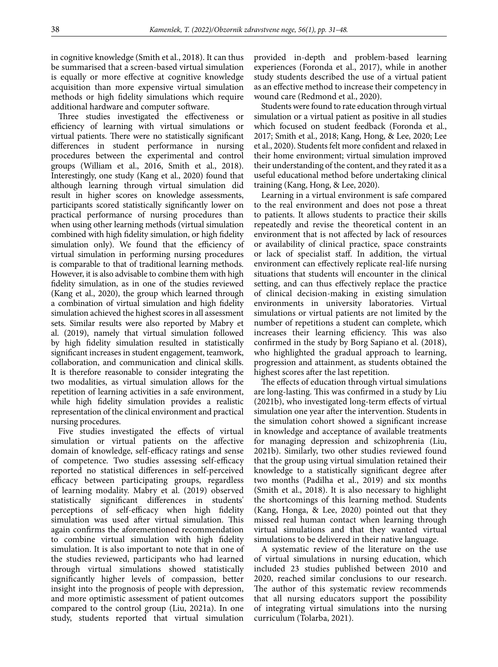in cognitive knowledge (Smith et al., 2018). It can thus be summarised that a screen-based virtual simulation is equally or more effective at cognitive knowledge acquisition than more expensive virtual simulation methods or high fidelity simulations which require additional hardware and computer software.

Three studies investigated the effectiveness or efficiency of learning with virtual simulations or virtual patients. There were no statistically significant differences in student performance in nursing procedures between the experimental and control groups (William et al., 2016, Smith et al., 2018). Interestingly, one study (Kang et al., 2020) found that although learning through virtual simulation did result in higher scores on knowledge assessments, participants scored statistically significantly lower on practical performance of nursing procedures than when using other learning methods (virtual simulation combined with high fidelity simulation, or high fidelity simulation only). We found that the efficiency of virtual simulation in performing nursing procedures is comparable to that of traditional learning methods. However, it is also advisable to combine them with high fidelity simulation, as in one of the studies reviewed (Kang et al., 2020), the group which learned through a combination of virtual simulation and high fidelity simulation achieved the highest scores in all assessment sets. Similar results were also reported by Mabry et al. (2019), namely that virtual simulation followed by high fidelity simulation resulted in statistically significant increases in student engagement, teamwork, collaboration, and communication and clinical skills. It is therefore reasonable to consider integrating the two modalities, as virtual simulation allows for the repetition of learning activities in a safe environment, while high fidelity simulation provides a realistic representation of the clinical environment and practical nursing procedures.

Five studies investigated the effects of virtual simulation or virtual patients on the affective domain of knowledge, self-efficacy ratings and sense of competence. Two studies assessing self-efficacy reported no statistical differences in self-perceived efficacy between participating groups, regardless of learning modality. Mabry et al. (2019) observed statistically significant differences in students' perceptions of self-efficacy when high fidelity simulation was used after virtual simulation. This again confirms the aforementioned recommendation to combine virtual simulation with high fidelity simulation. It is also important to note that in one of the studies reviewed, participants who had learned through virtual simulations showed statistically significantly higher levels of compassion, better insight into the prognosis of people with depression, and more optimistic assessment of patient outcomes compared to the control group (Liu, 2021a). In one study, students reported that virtual simulation provided in-depth and problem-based learning experiences (Foronda et al., 2017), while in another study students described the use of a virtual patient as an effective method to increase their competency in wound care (Redmond et al., 2020).

Students were found to rate education through virtual simulation or a virtual patient as positive in all studies which focused on student feedback (Foronda et al., 2017; Smith et al., 2018; Kang, Hong, & Lee, 2020; Lee et al., 2020). Students felt more confident and relaxed in their home environment; virtual simulation improved their understanding of the content, and they rated it as a useful educational method before undertaking clinical training (Kang, Hong, & Lee, 2020).

Learning in a virtual environment is safe compared to the real environment and does not pose a threat to patients. It allows students to practice their skills repeatedly and revise the theoretical content in an environment that is not affected by lack of resources or availability of clinical practice, space constraints or lack of specialist staff. In addition, the virtual environment can effectively replicate real-life nursing situations that students will encounter in the clinical setting, and can thus effectively replace the practice of clinical decision-making in existing simulation environments in university laboratories. Virtual simulations or virtual patients are not limited by the number of repetitions a student can complete, which increases their learning efficiency. This was also confirmed in the study by Borg Sapiano et al. (2018), who highlighted the gradual approach to learning, progression and attainment, as students obtained the highest scores after the last repetition.

The effects of education through virtual simulations are long-lasting. This was confirmed in a study by Liu (2021b), who investigated long-term effects of virtual simulation one year after the intervention. Students in the simulation cohort showed a significant increase in knowledge and acceptance of available treatments for managing depression and schizophrenia (Liu, 2021b). Similarly, two other studies reviewed found that the group using virtual simulation retained their knowledge to a statistically significant degree after two months (Padilha et al., 2019) and six months (Smith et al., 2018). It is also necessary to highlight the shortcomings of this learning method. Students (Kang, Honga, & Lee, 2020) pointed out that they missed real human contact when learning through virtual simulations and that they wanted virtual simulations to be delivered in their native language.

A systematic review of the literature on the use of virtual simulations in nursing education, which included 23 studies published between 2010 and 2020, reached similar conclusions to our research. The author of this systematic review recommends that all nursing educators support the possibility of integrating virtual simulations into the nursing curriculum (Tolarba, 2021).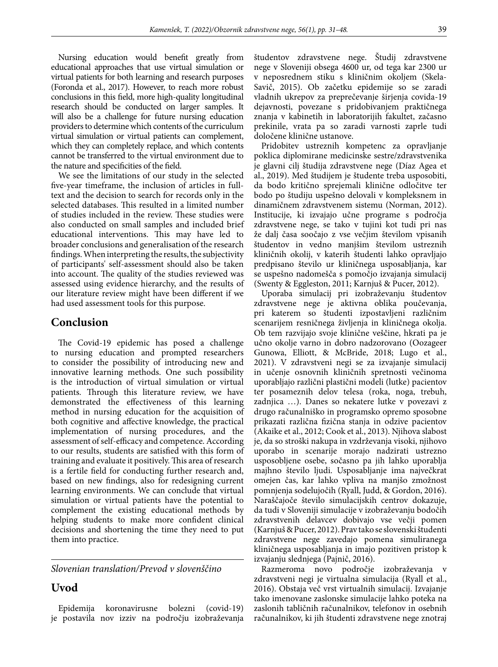Nursing education would benefit greatly from educational approaches that use virtual simulation or virtual patients for both learning and research purposes (Foronda et al., 2017). However, to reach more robust conclusions in this field, more high-quality longitudinal research should be conducted on larger samples. It will also be a challenge for future nursing education providers to determine which contents of the curriculum virtual simulation or virtual patients can complement, which they can completely replace, and which contents cannot be transferred to the virtual environment due to the nature and specificities of the field.

We see the limitations of our study in the selected five-year timeframe, the inclusion of articles in fulltext and the decision to search for records only in the selected databases. This resulted in a limited number of studies included in the review. These studies were also conducted on small samples and included brief educational interventions. This may have led to broader conclusions and generalisation of the research findings. When interpreting the results, the subjectivity of participants' self-assessment should also be taken into account. The quality of the studies reviewed was assessed using evidence hierarchy, and the results of our literature review might have been different if we had used assessment tools for this purpose.

### **Conclusion**

The Covid-19 epidemic has posed a challenge to nursing education and prompted researchers to consider the possibility of introducing new and innovative learning methods. One such possibility is the introduction of virtual simulation or virtual patients. Through this literature review, we have demonstrated the effectiveness of this learning method in nursing education for the acquisition of both cognitive and affective knowledge, the practical implementation of nursing procedures, and the assessment of self-efficacy and competence. According to our results, students are satisfied with this form of training and evaluate it positively. This area of research is a fertile field for conducting further research and, based on new findings, also for redesigning current learning environments. We can conclude that virtual simulation or virtual patients have the potential to complement the existing educational methods by helping students to make more confident clinical decisions and shortening the time they need to put them into practice.

*Slovenian translation/Prevod v slovenščino*

### **Uvod**

Epidemija koronavirusne bolezni (covid-19) je postavila nov izziv na področju izobraževanja študentov zdravstvene nege. Študij zdravstvene nege v Sloveniji obsega 4600 ur, od tega kar 2300 ur v neposrednem stiku s kliničnim okoljem (Skela-Savič, 2015). Ob začetku epidemije so se zaradi vladnih ukrepov za preprečevanje širjenja covida-19 dejavnosti, povezane s pridobivanjem praktičnega znanja v kabinetih in laboratorijih fakultet, začasno prekinile, vrata pa so zaradi varnosti zaprle tudi določene klinične ustanove.

Pridobitev ustreznih kompetenc za opravljanje poklica diplomirane medicinske sestre/zdravstvenika je glavni cilj študija zdravstvene nege (Díaz Agea et al., 2019). Med študijem je študente treba usposobiti, da bodo kritično sprejemali klinične odločitve ter bodo po študiju uspešno delovali v kompleksnem in dinamičnem zdravstvenem sistemu (Norman, 2012). Institucije, ki izvajajo učne programe s področja zdravstvene nege, se tako v tujini kot tudi pri nas že dalj časa soočajo z vse večjim številom vpisanih študentov in vedno manjšim številom ustreznih kliničnih okolij, v katerih študenti lahko opravljajo predpisano število ur kliničnega usposabljanja, kar se uspešno nadomešča s pomočjo izvajanja simulacij (Swenty & Eggleston, 2011; Karnjuš & Pucer, 2012).

Uporaba simulacij pri izobraževanju študentov zdravstvene nege je aktivna oblika poučevanja, pri katerem so študenti izpostavljeni različnim scenarijem resničnega življenja in kliničnega okolja. Ob tem razvijajo svoje klinične veščine, hkrati pa je učno okolje varno in dobro nadzorovano (Oozageer Gunowa, Elliott, & McBride, 2018; Lugo et al., 2021). V zdravstveni negi se za izvajanje simulacij in učenje osnovnih kliničnih spretnosti večinoma uporabljajo različni plastični modeli (lutke) pacientov ter posameznih delov telesa (roka, noga, trebuh, zadnjica …). Danes so nekatere lutke v povezavi z drugo računalniško in programsko opremo sposobne prikazati različna fizična stanja in odzive pacientov (Akaike et al., 2012; Cook et al., 2013). Njihova slabost je, da so stroški nakupa in vzdrževanja visoki, njihovo uporabo in scenarije morajo nadzirati ustrezno usposobljene osebe, sočasno pa jih lahko uporablja majhno število ljudi. Usposabljanje ima največkrat omejen čas, kar lahko vpliva na manjšo zmožnost pomnjenja sodelujočih (Ryall, Judd, & Gordon, 2016). Naraščajoče število simulacijskih centrov dokazuje, da tudi v Sloveniji simulacije v izobraževanju bodočih zdravstvenih delavcev dobivajo vse večji pomen (Karnjuš & Pucer, 2012). Prav tako se slovenski študenti zdravstvene nege zavedajo pomena simuliranega kliničnega usposabljanja in imajo pozitiven pristop k izvajanju slednjega (Pajnič, 2016).

Razmeroma novo področje izobraževanja v zdravstveni negi je virtualna simulacija (Ryall et al., 2016). Obstaja več vrst virtualnih simulacij. Izvajanje tako imenovane zaslonske simulacije lahko poteka na zaslonih tabličnih računalnikov, telefonov in osebnih računalnikov, ki jih študenti zdravstvene nege znotraj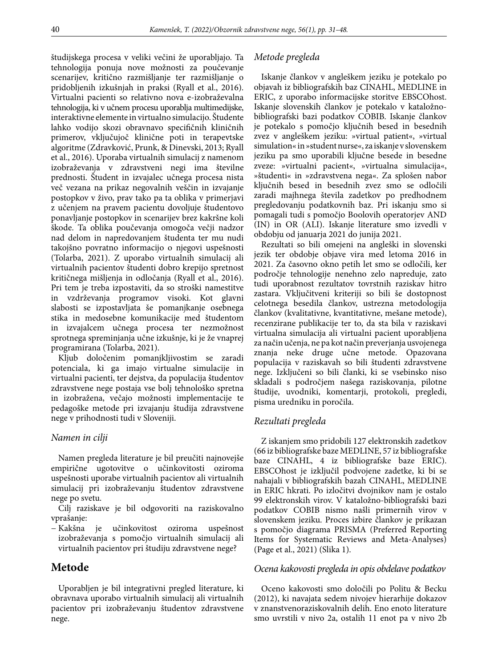študijskega procesa v veliki večini že uporabljajo. Ta tehnologija ponuja nove možnosti za poučevanje scenarijev, kritično razmišljanje ter razmišljanje o pridobljenih izkušnjah in praksi (Ryall et al., 2016). Virtualni pacienti so relativno nova e-izobraževalna tehnologija, ki v učnem procesu uporablja multimedijske, interaktivne elemente in virtualno simulacijo. Študente lahko vodijo skozi obravnavo specifičnih kliničnih primerov, vključujoč klinične poti in terapevtske algoritme (Zdravković, Prunk, & Dinevski, 2013; Ryall et al., 2016). Uporaba virtualnih simulacij z namenom izobraževanja v zdravstveni negi ima številne prednosti. Študent in izvajalec učnega procesa nista več vezana na prikaz negovalnih veščin in izvajanje postopkov v živo, prav tako pa ta oblika v primerjavi z učenjem na pravem pacientu dovoljuje študentovo ponavljanje postopkov in scenarijev brez kakršne koli škode. Ta oblika poučevanja omogoča večji nadzor nad delom in napredovanjem študenta ter mu nudi takojšno povratno informacijo o njegovi uspešnosti (Tolarba, 2021). Z uporabo virtualnih simulacij ali virtualnih pacientov študenti dobro krepijo spretnost kritičnega mišljenja in odločanja (Ryall et al., 2016). Pri tem je treba izpostaviti, da so stroški namestitve in vzdrževanja programov visoki. Kot glavni slabosti se izpostavljata še pomanjkanje osebnega stika in medosebne komunikacije med študentom in izvajalcem učnega procesa ter nezmožnost sprotnega spreminjanja učne izkušnje, ki je že vnaprej programirana (Tolarba, 2021).

Kljub določenim pomanjkljivostim se zaradi potenciala, ki ga imajo virtualne simulacije in virtualni pacienti, ter dejstva, da populacija študentov zdravstvene nege postaja vse bolj tehnološko spretna in izobražena, večajo možnosti implementacije te pedagoške metode pri izvajanju študija zdravstvene nege v prihodnosti tudi v Sloveniji.

### *Namen in cilji*

Namen pregleda literature je bil preučiti najnovejše empirične ugotovitve o učinkovitosti oziroma uspešnosti uporabe virtualnih pacientov ali virtualnih simulacij pri izobraževanju študentov zdravstvene nege po svetu.

Cilj raziskave je bil odgovoriti na raziskovalno vprašanje:

− Kakšna je učinkovitost oziroma uspešnost izobraževanja s pomočjo virtualnih simulacij ali virtualnih pacientov pri študiju zdravstvene nege?

### **Metode**

Uporabljen je bil integrativni pregled literature, ki obravnava uporabo virtualnih simulacij ali virtualnih pacientov pri izobraževanju študentov zdravstvene nege.

#### *Metode pregleda*

Iskanje člankov v angleškem jeziku je potekalo po objavah iz bibliografskih baz CINAHL, MEDLINE in ERIC, z uporabo informacijske storitve EBSCOhost. Iskanje slovenskih člankov je potekalo v kataložnobibliografski bazi podatkov COBIB. Iskanje člankov je potekalo s pomočjo ključnih besed in besednih zvez v angleškem jeziku: »virtual patient«, »virtual simulation« in »student nurse«, za iskanje v slovenskem jeziku pa smo uporabili ključne besede in besedne zveze: »virtualni pacient«, »virtualna simulacija«, »študenti« in »zdravstvena nega«. Za splošen nabor ključnih besed in besednih zvez smo se odločili zaradi majhnega števila zadetkov po predhodnem pregledovanju podatkovnih baz. Pri iskanju smo si pomagali tudi s pomočjo Boolovih operatorjev AND (IN) in OR (ALI). Iskanje literature smo izvedli v obdobju od januarja 2021 do junija 2021.

Rezultati so bili omejeni na angleški in slovenski jezik ter obdobje objave vira med letoma 2016 in 2021. Za časovno okno petih let smo se odločili, ker področje tehnologije nenehno zelo napreduje, zato tudi uporabnost rezultatov tovrstnih raziskav hitro zastara. Vključitveni kriteriji so bili še dostopnost celotnega besedila člankov, ustrezna metodologija člankov (kvalitativne, kvantitativne, mešane metode), recenzirane publikacije ter to, da sta bila v raziskavi virtualna simulacija ali virtualni pacient uporabljena za način učenja, ne pa kot način preverjanja usvojenega znanja neke druge učne metode. Opazovana populacija v raziskavah so bili študenti zdravstvene nege. Izključeni so bili članki, ki se vsebinsko niso skladali s področjem našega raziskovanja, pilotne študije, uvodniki, komentarji, protokoli, pregledi, pisma uredniku in poročila.

### *Rezultati pregleda*

Z iskanjem smo pridobili 127 elektronskih zadetkov (66 iz bibliografske baze MEDLINE, 57 iz bibliografske baze CINAHL, 4 iz bibliografske baze ERIC). EBSCOhost je izključil podvojene zadetke, ki bi se nahajali v bibliografskih bazah CINAHL, MEDLINE in ERIC hkrati. Po izločitvi dvojnikov nam je ostalo 99 elektronskih virov. V kataložno-bibliografski bazi podatkov COBIB nismo našli primernih virov v slovenskem jeziku. Proces izbire člankov je prikazan s pomočjo diagrama PRISMA (Preferred Reporting Items for Systematic Reviews and Meta-Analyses) (Page et al., 2021) (Slika 1).

#### *Ocena kakovosti pregleda in opis obdelave podatkov*

Oceno kakovosti smo določili po Politu & Becku (2012), ki navajata sedem nivojev hierarhije dokazov v znanstvenoraziskovalnih delih. Eno enoto literature smo uvrstili v nivo 2a, ostalih 11 enot pa v nivo 2b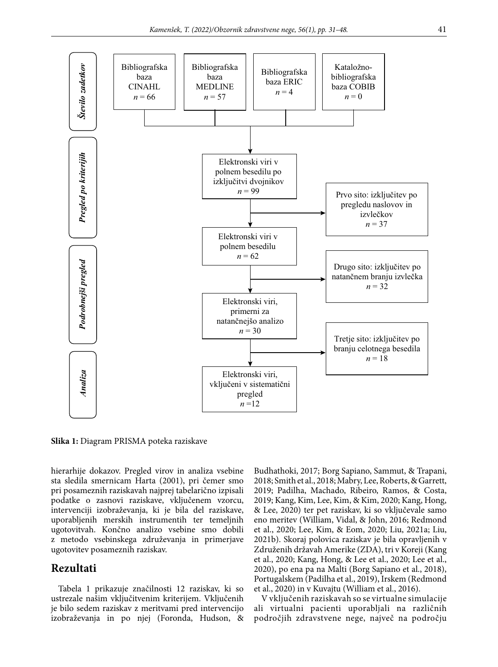

**Slika 1:** Diagram PRISMA poteka raziskave

hierarhije dokazov. Pregled virov in analiza vsebine sta sledila smernicam Harta (2001), pri čemer smo pri posameznih raziskavah najprej tabelarično izpisali podatke o zasnovi raziskave, vključenem vzorcu, intervenciji izobraževanja, ki je bila del raziskave, uporabljenih merskih instrumentih ter temeljnih ugotovitvah. Končno analizo vsebine smo dobili z metodo vsebinskega združevanja in primerjave ugotovitev posameznih raziskav.

# **Rezultati**

Tabela 1 prikazuje značilnosti 12 raziskav, ki so ustrezale našim vključitvenim kriterijem. Vključenih je bilo sedem raziskav z meritvami pred intervencijo izobraževanja in po njej (Foronda, Hudson, & Budhathoki, 2017; Borg Sapiano, Sammut, & Trapani, 2018; Smith et al., 2018; Mabry, Lee, Roberts, & Garrett, 2019; Padilha, Machado, Ribeiro, Ramos, & Costa, 2019; Kang, Kim, Lee, Kim, & Kim, 2020; Kang, Hong, & Lee, 2020) ter pet raziskav, ki so vključevale samo eno meritev (William, Vidal, & John, 2016; Redmond et al., 2020; Lee, Kim, & Eom, 2020; Liu, 2021a; Liu, 2021b). Skoraj polovica raziskav je bila opravljenih v Združenih državah Amerike (ZDA), tri v Koreji (Kang et al., 2020; Kang, Hong, & Lee et al., 2020; Lee et al., 2020), po ena pa na Malti (Borg Sapiano et al., 2018), Portugalskem (Padilha et al., 2019), Irskem (Redmond et al., 2020) in v Kuvajtu (William et al., 2016).

V vključenih raziskavah so se virtualne simulacije ali virtualni pacienti uporabljali na različnih področjih zdravstvene nege, največ na področju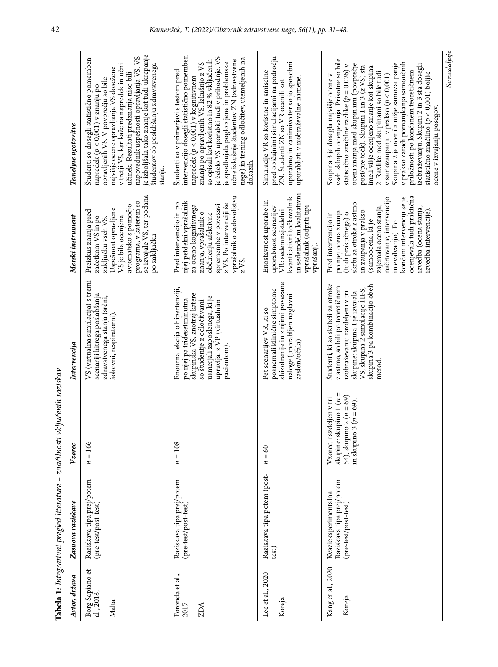|                                        | Tabela 1: Integrativni pregled literature - značilnosti                   | vključenih raziskav                                                                                            |                                                                                                                                                                                                                      |                                                                                                                                                                                                                                                                                                                                          |                                                                                                                                                                                                                                                                                                                                                                                                                                                                                                                                                                                                               |
|----------------------------------------|---------------------------------------------------------------------------|----------------------------------------------------------------------------------------------------------------|----------------------------------------------------------------------------------------------------------------------------------------------------------------------------------------------------------------------|------------------------------------------------------------------------------------------------------------------------------------------------------------------------------------------------------------------------------------------------------------------------------------------------------------------------------------------|---------------------------------------------------------------------------------------------------------------------------------------------------------------------------------------------------------------------------------------------------------------------------------------------------------------------------------------------------------------------------------------------------------------------------------------------------------------------------------------------------------------------------------------------------------------------------------------------------------------|
| Avtor, država                          | Zasnova raziskave                                                         | Vzorec                                                                                                         | Intervencija                                                                                                                                                                                                         | Merski instrument                                                                                                                                                                                                                                                                                                                        | Temeljne ugotovitve                                                                                                                                                                                                                                                                                                                                                                                                                                                                                                                                                                                           |
| Borg Sapiano et<br>al., 2018,<br>Malta | Raziskava tipa prej/potem<br>(pre-test/post-test)                         | $n = 166$                                                                                                      | VS (virtualna simulacija) s tremi<br>scenariji hitrega poslabšanja<br>zdravstvenega stanja (srčni,<br>šokovni, respiratorni).                                                                                        | se izvajale VS, ter podana<br>programa, v katerem so<br>avtomatsko s pomočjo<br>Uspešnost opravljene<br>Preizkus znanja pred<br>VS je bila ocenjena<br>začetkom VS in po<br>zaključku vseh VS.<br>po zaključku.                                                                                                                          | je izboljšala tako znanje kot tudi ukrepanje<br>napovednik uspešnosti opravljanja VS. VS<br>Študenti so dosegli statistično pomemben<br>napredek (p < 0,001) v znanju po<br>študentov ob poslabšanju zdravstvenega<br>v tretji VS, kar kaže na napredek in učni<br>najvišje ocene opravljanja VS dosežene<br>učinek. Rezultati predznanja niso bili<br>opravljenih VS. V povprečju so bile<br>stanja.                                                                                                                                                                                                         |
| Foronda et al.,<br>2017<br>ZDA         | Raziskava tipa prej/potem<br>(pre-test/post-test)                         | $n=108$                                                                                                        | Enourna lekcija o hipertenziji,<br>skupinska VS, znotraj katere<br>usmerjali zaposlenega, ki je<br>po njej pa tridesetminutna<br>so študentje z odločitvami<br>upravljal z VP (virtualnim<br>pacientom).             | vprašalnik o zadovoljstvu<br>njej petdelni vprašalnik<br>Pred intervencijo in po<br>z VS. Po intervenciji še<br>spremembe v povezavi<br>za oceno kognitivnega<br>znanja, vprašalnik o<br>občutenju afektivne<br>$z\overline{VS}$ .                                                                                                       | intervencijo dosegli statistično pomemben<br>je želelo VS uporabiti tudi v prihodnje. VS<br>nege) in trening odločitev, utemeljenih na<br>so opisali kot koristno in 82 % vključenih<br>učne izkušnje študentov ZN (zdravstvene<br>je spodbujala poglobljene in problemske<br>napredek $(p < 0,001)$ v kognitivnem<br>znanju po opravljenih VS. Izkušnjo z VS<br>Študenti so v primerjavi s testom pred<br>dokazih.                                                                                                                                                                                           |
| Lee et al., 2020<br>Koreja             | Raziskava tipa potem (post-<br>test)                                      | $=60$<br>z                                                                                                     | shizofrenije in z njimi povezane<br>posnemali klinične simptome<br>naloge (uporabljen naglavni<br>Pet scenarijev VR, ki so<br>zaslon/očala)                                                                          | in sedemdelni kvalitativni<br>kvantitativni točkovalnik<br>Enostavnost uporabe in<br>vprašalnik (odprti tipi<br>uporabnost scenarijev<br>VR: sedemnajstdelni<br>vprašanj).                                                                                                                                                               | pred običajnimi simulacijami na področju<br>uporabno in zanimivo ter so jo sposobni<br>Simulacije VR so koristne in smiselne<br>uporabljati v izobraževalne namene.<br>ZN. Študenti ZN so VR ocenili kot                                                                                                                                                                                                                                                                                                                                                                                                      |
| Kang et al., 2020<br>Koreja            | Raziskava tipa prej/potem<br>Kvazieksperimentalna<br>(pre-test/post-test) | skupine: skupino 1 ( $n =$ 54), skupino 2 ( $n = 69$ )<br>Vzorec, razdeljen v tri<br>in skupino 3 $(n = 69)$ . | Študenti, ki so skrbeli za otroke<br>skupina 3 pa kombinacijo obeh<br>z astmo, so bili po teoretičnem<br>VS, skupina 2 simulacijo HFS,<br>izobraževanju razdeljeni v tri<br>skupine: skupina 1 je izvajala<br>metod. | ocenjevala tudi praktična<br>načrtovanje, intervencijo<br>končani intervenciji se je<br>skrbi za otroke z astmo<br>zajemala oceno stanja,<br>izvedba (ocena stanja,<br>izvedba intervencije).<br>in zaupanja v prakso<br>po njej ocena znanja<br>(tudi praktičnega) o<br>Pred intervencijo in<br>(samoocena, ki je<br>in evalvacijo). Po | vseh sklopih ocenjevanja. Prisotne so bile<br>v prakso zaradi pomanjkanja samoučnih<br>Skupina 2 je ocenila nižje samozaupanje<br>oceni znanja med skupinami (povprečje<br>izobraževanju. Skupini 2 in 3 sta dosegli<br>statistično značilne razlike ( $p = 0,026$ ) v<br>post/pre točk). Skupini 1 in 3 (z VS) sta<br>imeli višje ocenjeno znanje kot skupina<br>priložnosti po končanem teoretičnem<br>2. Razlike med skupinami so bile tudi<br>statistično značilno ( $p < 0,001$ ) boljše<br>Skupina 3 je dosegla najvišje ocene v<br>v samozaupanju v prakso $(p < 0,001)$<br>ocene v izvajanju posegov. |

*Se nadaljuje*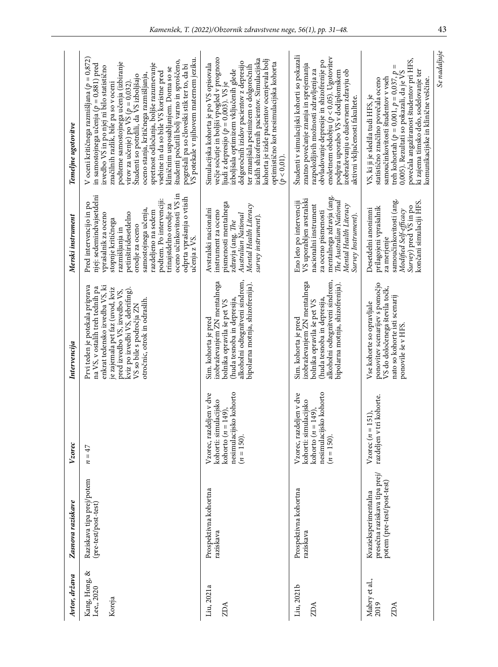| Avtor, država                              | Zasnova raziskave                                                                   | Vzorec                                                                                                               | Intervencija                                                                                                                                                                                                                                                          | Merski instrument                                                                                                                                                                                                                                                                                                                               | Temeljne ugotovitve                                                                                                                                                                                                                                                                                                                                                                                                                                                                                                                                                                                                           |
|--------------------------------------------|-------------------------------------------------------------------------------------|----------------------------------------------------------------------------------------------------------------------|-----------------------------------------------------------------------------------------------------------------------------------------------------------------------------------------------------------------------------------------------------------------------|-------------------------------------------------------------------------------------------------------------------------------------------------------------------------------------------------------------------------------------------------------------------------------------------------------------------------------------------------|-------------------------------------------------------------------------------------------------------------------------------------------------------------------------------------------------------------------------------------------------------------------------------------------------------------------------------------------------------------------------------------------------------------------------------------------------------------------------------------------------------------------------------------------------------------------------------------------------------------------------------|
| ళ<br>Kang, Hong, i<br>Lee,, 2020<br>Koreja | Raziskava tipa prej/potem<br>(pre-test/post-test)                                   | $n = 47$                                                                                                             | Prvi teden je potekala priprava<br>enkrat tedensko izvedba VS, ki<br>na VS, v ostalih treh tednih pa<br>je zajemala pet faz (uvod, kviz<br>pred izvedbo VS, izvedbo VS,<br>kviz po izvedbi VS, debrifing)<br>otročnic, otrok in odraslih.<br>VS so bile s področja ZN | oceno učinkovitosti VS in<br>njej: sedemindvajsetdelni<br>odprta vprašanja o vtisih<br>podtem. Po intervenciji:<br>Pred intervencijo in po<br>trinajstdelno orodje za<br>samostojnega učenja,<br>razdeljeno na sedem<br>petinštiridesetdelno<br>vprašalnik za oceno<br>stopnje kritičnega<br>orodje za oceno<br>razmišljanja in<br>učenja z VS. | V oceni kritičnega razmišljana ( $p=0.872$ )<br>pogrešali pa so človeški stik ter to, da bi<br>VS potekale v njihovem maternem jeziku.<br>študenti počutili bolj varno in sproščeno,<br>podteme samostojnega učenja (izbiranje<br>spretnost odločanja, boljše razumevanje<br>in samostojnega učenja ( $p = 0.881$ ) pred<br>izvedbo VS in po njej ni bilo statistično<br>kliničnim usposabljanjem. Doma so se<br>vsebine in da so bile VS koristne pred<br>oceno stanja, kritičnega razmišljanja,<br>Študenti so potrdili, da VS izboljšajo<br>virov za učenje) po VS ( $p = 0,032$ )<br>značilnih razlik, bile pa so v oceni |
| Liu, 2021a<br>ZDA                          | Prospektivna kohortna<br>raziskava                                                  | Vzorec, razdeljen v dve<br>nesimulacijsko kohorto<br>kohorti: simulacijsko<br>149),<br>$kohorto(n =$<br>$(n = 150).$ | alkoholni odtegnitveni sindrom,<br>izobraževanjem ZN mentalnega<br>bipolarna motnja, shizofrenija).<br>(huda tesnoba in depresija,<br>bolnika opravila še pet VS<br>Sim. kohorta je pred                                                                              | pismenosti mentalnega<br>Mental Health Literacy<br>Avstralski nacionalni<br>instrument za oceno<br>Australian National<br>survey instrument)<br>zdravja (ang. $The$                                                                                                                                                                             | večje sočutje in boljši vpogled v prognozo<br>izidih shizofrenih pacientov. Simulacijska<br>kohorta je izide pacientov ocenjevala bolj<br>dolgoročnih izidov pacientov z depresijo<br>optimistično kot nesimulacijska kohorta<br>Simulacijska kohorta je po VS opisovala<br>ter zmanjšala pesimizem o dolgoročnih<br>ljudi z depresijo ( $p = 0,003$ ). VS je $\frac{1}{12}$ izboljšala optimizem vključenih glede<br>$(p < 0, 01)$ .                                                                                                                                                                                         |
| Liu, 2021b<br>ZDA                          | Prospektivna kohortna<br>raziskava                                                  | nesimulacijsko kohorto<br>Vzorec, razdeljen v dve<br>kohorti: simulacijsko<br>149),<br>$kohorto(n =$<br>$(n = 150).$ | alkoholni odtegnitveni sindrom,<br>izobraževanjem ZN mentalnega<br>bipolarna motnja, shizofrenija).<br>(huda tesnoba in depresija,<br>bolnika opravila še pet VS<br>Sim. kohorta je pred                                                                              | mentalnega zdravja (ang.<br>VS uporabljen avstralski<br>The Australian National<br>Eno leto po intervenciji<br>Mental Health Literacy<br>nacionalni instrument<br>za oceno pismenosti<br>Survey Instrument)                                                                                                                                     | Študenti v simulacijski kohorti so pokazali<br>enoletnem obdobju ( $p < 0,05$ ). Ugotovitev<br>obvladovanje depresije in shizofrenije po<br>znatno povečanje znanja in sprejemanja<br>razpoložljivih možnosti zdravljenja za<br>podpira uporabo VS v dodiplomskem<br>izobraževanju o duševnem zdravju ob<br>aktivni vključenosti fakultete.                                                                                                                                                                                                                                                                                   |
| Mabry et al.,<br>2019<br>ZDA               | presečna raziskava tipa prej/<br>potem (pre-test/post-test)<br>Kvazieksperimentalna | razdeljen v tri kohorte.<br>51),<br>$V$ zorec $(n = 1)$                                                              | ponovitev scenarijev s pomočjo<br>VS do določenega števila točk,<br>nato so kohorte isti scenarij<br>Vse kohorte so opravljale<br>ponovile še v HFS.                                                                                                                  | samoučinkovitosti (ang.<br>končani simulaciji HFS.<br>Survey) pred VS in po<br>prilagojeni vprašalnik<br>Modified Self-efficacy<br>Desetdelni anonimni<br>za merjenje                                                                                                                                                                           | povečala angažiranost študentov pri HFS,<br>$\mathsf{I}$<br>ki zajema timsko delo, sodelovanje ter<br>treh kohortah $(p=0,001, p=0,037, p$<br>0,005). Rezultati so pokazali, da je VS<br>samoučinkovitosti študentov v vseh<br>statistično značilno povečala oceno<br>komunikacijske in klinične veščine.<br>VS, ki ji je sledila tudi HFS, je                                                                                                                                                                                                                                                                                |
|                                            |                                                                                     |                                                                                                                      |                                                                                                                                                                                                                                                                       |                                                                                                                                                                                                                                                                                                                                                 | Se nadaljuje                                                                                                                                                                                                                                                                                                                                                                                                                                                                                                                                                                                                                  |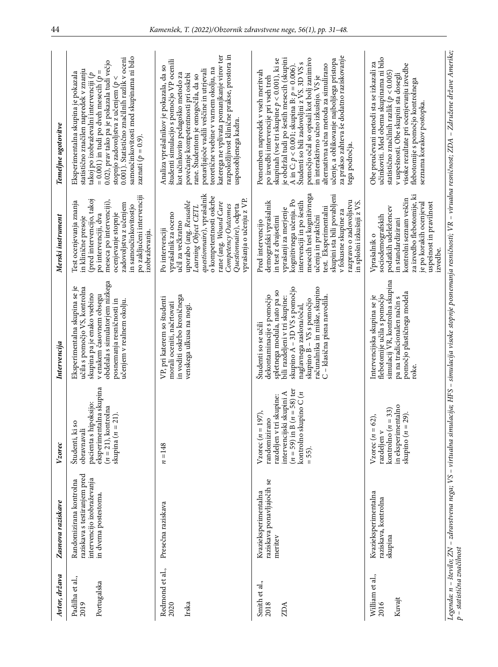| Avtor, država                          | Zasnova raziskave                                                                                             | Vzorec                                                                                                                                                                  | Intervencija                                                                                                                                                                                                                                                                | Merski instrument                                                                                                                                                                                                                                                                                                                                | Temeljne ugotovitve                                                                                                                                                                                                                                                                                                                                                                                                                                                                                                    |
|----------------------------------------|---------------------------------------------------------------------------------------------------------------|-------------------------------------------------------------------------------------------------------------------------------------------------------------------------|-----------------------------------------------------------------------------------------------------------------------------------------------------------------------------------------------------------------------------------------------------------------------------|--------------------------------------------------------------------------------------------------------------------------------------------------------------------------------------------------------------------------------------------------------------------------------------------------------------------------------------------------|------------------------------------------------------------------------------------------------------------------------------------------------------------------------------------------------------------------------------------------------------------------------------------------------------------------------------------------------------------------------------------------------------------------------------------------------------------------------------------------------------------------------|
| Padilha et al.,<br>Portugalska<br>2019 | raziskava s testiranjem pred<br>intervencijo izobraževanja<br>Randomizirana kontrolna<br>in dvema postestoma. | eksperimentalna skupina<br>pacienta s hipoksijo:<br>$(n = 21)$ , kontrolna<br>$= 21$ .<br>Študenti, ki so<br>obravnavali<br>$\frac{1}{n}$                               | obdelala s simulatorjem nizkega<br>Eksperimentalna skupina se je<br>učila s pomočjo VS, kontrolna<br>skupina pa je enako vsebino<br>v enakem časovnem obsegu<br>posnemanja resničnosti in<br>učenjem v realnem okolju.                                                      | po zaključeni intervenciji<br>(pred intervencijo, takoj<br>meseca po intervenciji),<br>Test ocenjevanja znanja<br>zadovoljstva z učenjem<br>in samoučinkovitostjo<br>ocenjevanje stopnje<br>po intervenciji, dva<br>in klinične presoje<br>izobraževanja.                                                                                        | samoučinkovitosti med skupinama ni bilo<br>0.001). Statistično značilnih razlik v oceni<br>0.02), prav tako pa je pokazala tudi večjo<br>statistično značilen napredek v znanju<br>$= 0.001$ ) in tudi po dveh mesecih ( $p =$<br>Eksperimentalna skupina je pokazala<br>takoj po izobraževalni intervenciji (p<br>stopnjo zadovoljstva z učenjem ( $p <$<br>zaznati ( $p = 0.9$ ).                                                                                                                                    |
| Redmond et al.,<br>Irska<br>2020       | Presečna raziskava                                                                                            | $n = 148$                                                                                                                                                               | in voditi oskrbo kroničnega<br>VP, pri katerem so študenti<br>morali oceniti, načrtovati<br>venskega ulkusa na nogi                                                                                                                                                         | questionnaire), vprašalnik<br>o kompetentnosti oskrbe<br>vprašanja o učenju z VP.<br>uporabo (ang. Reusable<br>rane (ang. Wound Care<br>Competency Outcomes<br>Questionnaire), odprta<br>Learning Object CETL<br>vprašalnik za oceno<br>učil za večkratno<br>Po intervenciji                                                                     | razpoložljivost klinične prakse, prostora in<br>katerega ne vplivata pomanjkanje virov ter<br>študenti simulacijo s pomočjo VP ocenili<br>Analiza vprašalnikov je pokazala, da so<br>teoretične vsebine v varnem okolju, na<br>ponavljajoče vadili veščine in utrjevali<br>povečanje kompetentnosti pri oskrbi<br>kot učinkovito pedagoško metodo za<br>rane. Študentom je omogočila, da so<br>usposobljenega kadra.                                                                                                   |
| Smith et al.,<br>2018<br>ZDA           | raziskava ponavljajočih se<br>Kvazieksperimentalna<br>meritev                                                 | $(n = 59)$ in B $(n = 58)$ ter<br>kontrolno skupino $C(n)$<br>intervencijski skupini A<br>razdeljen v tri skupine:<br>Vzorec $(n = 197)$ ,<br>randomizirano<br>$= 55$ . | skupino A - 3D VS s pomočjo<br>računalnika in miške, skupino<br>spletnega modula, nato pa so<br>dekontaminacije s pomočjo<br>C - klasična pisna navodila.<br>bili razdeljeni v tri skupine:<br>naglavnega zaslona/očal,<br>skupino B – VS s pomočjo<br>Študenti so se učili | mesecih test kognitivnega<br>skupini sta bili povabljeni<br>kognitivnega učenja. Po<br>razpravo o zadovoljstvu<br>intervenciji in po šestih<br>demografski vprašalnik<br>in splošni izkušnji z VS.<br>test. Eksperimentalni<br>vprašanji za merjenje<br>v fokusne skupine za<br>učenja in praktični<br>in test z dvajsetimi<br>Pred intervencijo | za prakso zahteva še dodatno raziskovanje<br>je obdržal tudi po šestih mesecih (skupini<br>pomočjo očal so opisali kot bolj zanimivo<br>učenje, a oblikovanje najboljšega pristopa<br>skupinah (vse tri skupine $p < 0.001$ ), ki se<br>Študenti so bili zadovoljni z VS. 3D VS s<br>alternativna učna metoda za simulirano<br>A in C: $p < 0.001$ ; skupina B: $p = 0.006$ ).<br>Pomemben napredek v vseh meritvah<br>in interaktivno učno izkušnjo. VS je<br>po izvedbi intervencije pri vseh treh<br>tega področja. |
| William et al.,<br>Kuvajt<br>2016      | Kvazieksperimentalna<br>raziskava, kontrolna<br>skupina                                                       | in eksperimentalno<br>kontrolno $(n = 33)$<br>$= 29$ .<br>$= 62$<br>razdeljen v<br>$n$ ) origina<br>Vzorec(n)                                                           | simulacij VR, kontrolna skupina<br>pomočjo plastičnega modela<br>flebotomije učila s pomočjo<br>Intervencijska skupina se je<br>pa na tradicionalen način s<br>roke.                                                                                                        | za izvedbo flebotomije, ki<br>kontrolni seznam veščin<br>uspešnost in pravilnost<br>je po korakih ocenjeval<br>podatkih udeležencev<br>sociodemografskih<br>in standardizirani<br>Vprašalnik o<br>izvedbe.                                                                                                                                       | učinkoviti. Med obema skupinama ni bilo<br>Obe preučevani metodi sta se izkazali za<br>visoke rezultate pri ocenjevanju izvedbe<br>statistično značilnih razlik ( $p < 0.005$ )<br>v uspešnosti. Obe skupini sta dosegli<br>flebotomije s pomočjo kontrolnega<br>seznama korakov postopka.                                                                                                                                                                                                                             |
| p - statistična značilnost             |                                                                                                               |                                                                                                                                                                         |                                                                                                                                                                                                                                                                             |                                                                                                                                                                                                                                                                                                                                                  | Legenda: n – število; ZN – zdravstvena nega; VS – virtualna simulacija; HFS – simulacija visoke stopnje posnemanja resničnosti; VR – virualna resničnost; ZDA – Združene države Amerike;                                                                                                                                                                                                                                                                                                                               |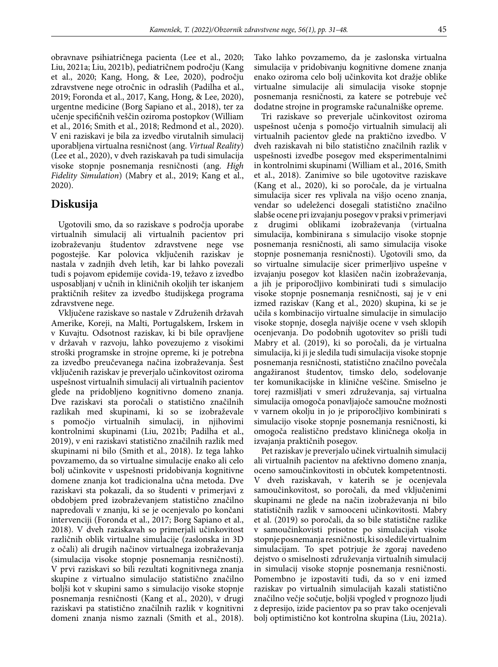obravnave psihiatričnega pacienta (Lee et al., 2020; Liu, 2021a; Liu, 2021b), pediatričnem področju (Kang et al., 2020; Kang, Hong, & Lee, 2020), področju zdravstvene nege otročnic in odraslih (Padilha et al., 2019; Foronda et al., 2017, Kang, Hong, & Lee, 2020), urgentne medicine (Borg Sapiano et al., 2018), ter za učenje specifičnih veščin oziroma postopkov (William et al., 2016; Smith et al., 2018; Redmond et al., 2020). V eni raziskavi je bila za izvedbo virutalnih simulacij uporabljena virtualna resničnost (ang. *Virtual Reality*) (Lee et al., 2020), v dveh raziskavah pa tudi simulacija visoke stopnje posnemanja resničnosti (ang. *High Fidelity Simulation*) (Mabry et al., 2019; Kang et al., 2020).

### **Diskusija**

Ugotovili smo, da so raziskave s področja uporabe virtualnih simulacij ali virtualnih pacientov pri izobraževanju študentov zdravstvene nege vse pogostejše. Kar polovica vključenih raziskav je nastala v zadnjih dveh letih, kar bi lahko povezali tudi s pojavom epidemije covida-19, težavo z izvedbo usposabljanj v učnih in kliničnih okoljih ter iskanjem praktičnih rešitev za izvedbo študijskega programa zdravstvene nege.

Vključene raziskave so nastale v Združenih državah Amerike, Koreji, na Malti, Portugalskem, Irskem in v Kuvajtu. Odsotnost raziskav, ki bi bile opravljene v državah v razvoju, lahko povezujemo z visokimi stroški programske in strojne opreme, ki je potrebna za izvedbo preučevanega načina izobraževanja. Šest vključenih raziskav je preverjalo učinkovitost oziroma uspešnost virtualnih simulacij ali virtualnih pacientov glede na pridobljeno kognitivno domeno znanja. Dve raziskavi sta poročali o statistično značilnih razlikah med skupinami, ki so se izobraževale s pomočjo virtualnih simulacij, in njihovimi kontrolnimi skupinami (Liu, 2021b; Padilha et al., 2019), v eni raziskavi statistično značilnih razlik med skupinami ni bilo (Smith et al., 2018). Iz tega lahko povzamemo, da so virtualne simulacije enako ali celo bolj učinkovite v uspešnosti pridobivanja kognitivne domene znanja kot tradicionalna učna metoda. Dve raziskavi sta pokazali, da so študenti v primerjavi z obdobjem pred izobraževanjem statistično značilno napredovali v znanju, ki se je ocenjevalo po končani intervenciji (Foronda et al., 2017; Borg Sapiano et al., 2018). V dveh raziskavah so primerjali učinkovitost različnih oblik virtualne simulacije (zaslonska in 3D z očali) ali drugih načinov virtualnega izobraževanja (simulacija visoke stopnje posnemanja resničnosti). V prvi raziskavi so bili rezultati kognitivnega znanja skupine z virtualno simulacijo statistično značilno boljši kot v skupini samo s simulacijo visoke stopnje posnemanja resničnosti (Kang et al., 2020), v drugi raziskavi pa statistično značilnih razlik v kognitivni domeni znanja nismo zaznali (Smith et al., 2018). Tako lahko povzamemo, da je zaslonska virtualna simulacija v pridobivanju kognitivne domene znanja enako oziroma celo bolj učinkovita kot dražje oblike virtualne simulacije ali simulacija visoke stopnje posnemanja resničnosti, za katere se potrebuje več dodatne strojne in programske računalniške opreme.

Tri raziskave so preverjale učinkovitost oziroma uspešnost učenja s pomočjo virtualnih simulacij ali virtualnih pacientov glede na praktično izvedbo. V dveh raziskavah ni bilo statistično značilnih razlik v uspešnosti izvedbe posegov med eksperimentalnimi in kontrolnimi skupinami (William et al., 2016, Smith et al., 2018). Zanimive so bile ugotovitve raziskave (Kang et al., 2020), ki so poročale, da je virtualna simulacija sicer res vplivala na višjo oceno znanja, vendar so udeleženci dosegali statistično značilno slabše ocene pri izvajanju posegov v praksi v primerjavi z drugimi oblikami izobraževanja (virtualna simulacija, kombinirana s simulacijo visoke stopnje posnemanja resničnosti, ali samo simulacija visoke stopnje posnemanja resničnosti). Ugotovili smo, da so virtualne simulacije sicer primerljivo uspešne v izvajanju posegov kot klasičen način izobraževanja, a jih je priporočljivo kombinirati tudi s simulacijo visoke stopnje posnemanja resničnosti, saj je v eni izmed raziskav (Kang et al., 2020) skupina, ki se je učila s kombinacijo virtualne simulacije in simulacijo visoke stopnje, dosegla najvišje ocene v vseh sklopih ocenjevanja. Do podobnih ugotovitev so prišli tudi Mabry et al. (2019), ki so poročali, da je virtualna simulacija, ki ji je sledila tudi simulacija visoke stopnje posnemanja resničnosti, statistično značilno povečala angažiranost študentov, timsko delo, sodelovanje ter komunikacijske in klinične veščine. Smiselno je torej razmišljati v smeri združevanja, saj virtualna simulacija omogoča ponavljajoče samoučne možnosti v varnem okolju in jo je priporočljivo kombinirati s simulacijo visoke stopnje posnemanja resničnosti, ki omogoča realistično predstavo kliničnega okolja in izvajanja praktičnih posegov.

Pet raziskav je preverjalo učinek virtualnih simulacij ali virtualnih pacientov na afektivno domeno znanja, oceno samoučinkovitosti in občutek kompetentnosti. V dveh raziskavah, v katerih se je ocenjevala samoučinkovitost, so poročali, da med vključenimi skupinami ne glede na način izobraževanja ni bilo statističnih razlik v samooceni učinkovitosti. Mabry et al. (2019) so poročali, da so bile statistične razlike v samoučinkovisti prisotne po simulacijah visoke stopnje posnemanja resničnosti, ki so sledile virtualnim simulacijam. To spet potrjuje že zgoraj navedeno dejstvo o smiselnosti združevanja virtualnih simulacij in simulacij visoke stopnje posnemanja resničnosti. Pomembno je izpostaviti tudi, da so v eni izmed raziskav po virtualnih simulacijah kazali statistično značilno večje sočutje, boljši vpogled v prognozo ljudi z depresijo, izide pacientov pa so prav tako ocenjevali bolj optimistično kot kontrolna skupina (Liu, 2021a).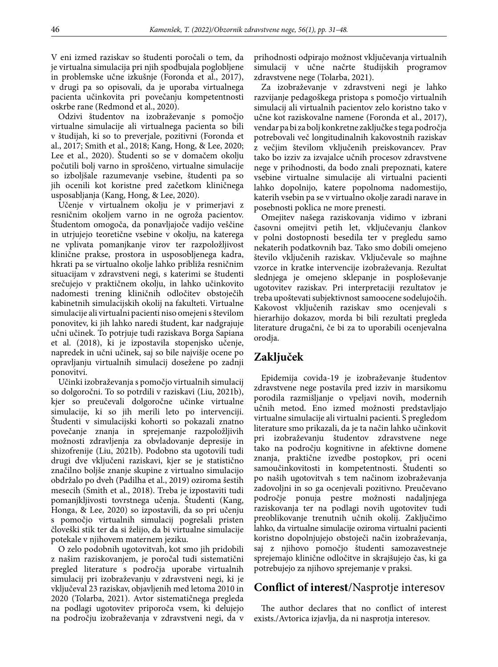V eni izmed raziskav so študenti poročali o tem, da je virtualna simulacija pri njih spodbujala poglobljene in problemske učne izkušnje (Foronda et al., 2017), v drugi pa so opisovali, da je uporaba virtualnega pacienta učinkovita pri povečanju kompetentnosti oskrbe rane (Redmond et al., 2020).

Odzivi študentov na izobraževanje s pomočjo virtualne simulacije ali virtualnega pacienta so bili v študijah, ki so to preverjale, pozitivni (Foronda et al., 2017; Smith et al., 2018; Kang, Hong, & Lee, 2020; Lee et al., 2020). Študenti so se v domačem okolju počutili bolj varno in sproščeno, virtualne simulacije so izboljšale razumevanje vsebine, študenti pa so jih ocenili kot koristne pred začetkom kliničnega usposabljanja (Kang, Hong, & Lee, 2020).

Učenje v virtualnem okolju je v primerjavi z resničnim okoljem varno in ne ogroža pacientov. Študentom omogoča, da ponavljajoče vadijo veščine in utrjujejo teoretične vsebine v okolju, na katerega ne vplivata pomanjkanje virov ter razpoložljivost klinične prakse, prostora in usposobljenega kadra, hkrati pa se virtualno okolje lahko približa resničnim situacijam v zdravstveni negi, s katerimi se študenti srečujejo v praktičnem okolju, in lahko učinkovito nadomesti trening kliničnih odločitev obstoječih kabinetnih simulacijskih okolij na fakulteti. Virtualne simulacije ali virtualni pacienti niso omejeni s številom ponovitev, ki jih lahko naredi študent, kar nadgrajuje učni učinek. To potrjuje tudi raziskava Borga Sapiana et al. (2018), ki je izpostavila stopenjsko učenje, napredek in učni učinek, saj so bile najvišje ocene po opravljanju virtualnih simulacij dosežene po zadnji ponovitvi.

Učinki izobraževanja s pomočjo virtualnih simulacij so dolgoročni. To so potrdili v raziskavi (Liu, 2021b), kjer so preučevali dolgoročne učinke virtualne simulacije, ki so jih merili leto po intervenciji. Študenti v simulacijski kohorti so pokazali znatno povečanje znanja in sprejemanje razpoložljivih možnosti zdravljenja za obvladovanje depresije in shizofrenije (Liu, 2021b). Podobno sta ugotovili tudi drugi dve vključeni raziskavi, kjer se je statistično značilno boljše znanje skupine z virtualno simulacijo obdržalo po dveh (Padilha et al., 2019) oziroma šestih mesecih (Smith et al., 2018). Treba je izpostaviti tudi pomanjkljivosti tovrstnega učenja. Študenti (Kang, Honga, & Lee, 2020) so izpostavili, da so pri učenju s pomočjo virtualnih simulacij pogrešali pristen človeški stik ter da si želijo, da bi virtualne simulacije potekale v njihovem maternem jeziku.

O zelo podobnih ugotovitvah, kot smo jih pridobili z našim raziskovanjem, je poročal tudi sistematični pregled literature s področja uporabe virtualnih simulacij pri izobraževanju v zdravstveni negi, ki je vključeval 23 raziskav, objavljenih med letoma 2010 in 2020 (Tolarba, 2021). Avtor sistematičnega pregleda na podlagi ugotovitev priporoča vsem, ki delujejo na področju izobraževanja v zdravstveni negi, da v prihodnosti odpirajo možnost vključevanja virtualnih simulacij v učne načrte študijskih programov zdravstvene nege (Tolarba, 2021).

Za izobraževanje v zdravstveni negi je lahko razvijanje pedagoškega pristopa s pomočjo virtualnih simulacij ali virtualnih pacientov zelo koristno tako v učne kot raziskovalne namene (Foronda et al., 2017), vendar pa bi za bolj konkretne zaključke s tega področja potrebovali več longitudinalnih kakovostnih raziskav z večjim številom vključenih preiskovancev. Prav tako bo izziv za izvajalce učnih procesov zdravstvene nege v prihodnosti, da bodo znali prepoznati, katere vsebine virtualne simulacije ali virtualni pacienti lahko dopolnijo, katere popolnoma nadomestijo, katerih vsebin pa se v virtualno okolje zaradi narave in posebnosti poklica ne more prenesti.

Omejitev našega raziskovanja vidimo v izbrani časovni omejitvi petih let, vključevanju člankov v polni dostopnosti besedila ter v pregledu samo nekaterih podatkovnih baz. Tako smo dobili omejeno število vključenih raziskav. Vključevale so majhne vzorce in kratke intervencije izobraževanja. Rezultat slednjega je omejeno sklepanje in posploševanje ugotovitev raziskav. Pri interpretaciji rezultatov je treba upoštevati subjektivnost samoocene sodelujočih. Kakovost vključenih raziskav smo ocenjevali s hierarhijo dokazov, morda bi bili rezultati pregleda literature drugačni, če bi za to uporabili ocenjevalna orodja.

# **Zaključek**

Epidemija covida-19 je izobraževanje študentov zdravstvene nege postavila pred izziv in marsikomu porodila razmišljanje o vpeljavi novih, modernih učnih metod. Eno izmed možnosti predstavljajo virtualne simulacije ali virtualni pacienti. S pregledom literature smo prikazali, da je ta način lahko učinkovit pri izobraževanju študentov zdravstvene nege tako na področju kognitivne in afektivne domene znanja, praktične izvedbe postopkov, pri oceni samoučinkovitosti in kompetentnosti. Študenti so po naših ugotovitvah s tem načinom izobraževanja zadovoljni in so ga ocenjevali pozitivno. Preučevano področje ponuja pestre možnosti nadaljnjega raziskovanja ter na podlagi novih ugotovitev tudi preoblikovanje trenutnih učnih okolij. Zaključimo lahko, da virtualne simulacije oziroma virtualni pacienti koristno dopolnjujejo obstoječi način izobraževanja, saj z njihovo pomočjo študenti samozavestneje sprejemajo klinične odločitve in skrajšujejo čas, ki ga potrebujejo za njihovo sprejemanje v praksi.

## **Conflict of interest**/Nasprotje interesov

The author declares that no conflict of interest exists./Avtorica izjavlja, da ni nasprotja interesov.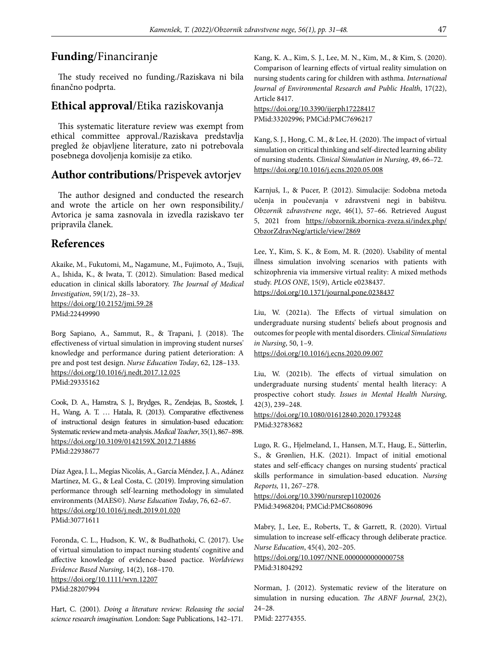### **Funding**/Financiranje

The study received no funding./Raziskava ni bila finančno podprta.

### **Ethical approval**/Etika raziskovanja

This systematic literature review was exempt from ethical committee approval./Raziskava predstavlja pregled že objavljene literature, zato ni potrebovala posebnega dovoljenja komisije za etiko.

### **Author contributions**/Prispevek avtorjev

The author designed and conducted the research and wrote the article on her own responsibility./ Avtorica je sama zasnovala in izvedla raziskavo ter pripravila članek.

### **References**

Akaike, M., Fukutomi, M,, Nagamune, M., Fujimoto, A., Tsuji, A., Ishida, K., & Iwata, T. (2012). Simulation: Based medical education in clinical skills laboratory. *The Journal of Medical Investigation*, 59(1/2), 28–33. https://doi.org/10.2152/jmi.59.28 PMid:22449990

Borg Sapiano, A., Sammut, R., & Trapani, J. (2018). The effectiveness of virtual simulation in improving student nurses' knowledge and performance during patient deterioration: A pre and post test design. *Nurse Education Today*, 62, 128–133. https://doi.org/10.1016/j.nedt.2017.12.025 PMid:29335162

Cook, D. A., Hamstra, S. J., Brydges, R., Zendejas, B., Szostek, J. H., Wang, A. T. … Hatala, R. (2013). Comparative effectiveness of instructional design features in simulation-based education: Systematic review and meta-analysis. *Medical Teacher*, 35(1), 867–898. https://doi.org/10.3109/0142159X.2012.714886 PMid:22938677

Díaz Agea, J. L., Megías Nicolás, A., García Méndez, J. A., Adánez Martínez, M. G., & Leal Costa, C. (2019). Improving simulation performance through self-learning methodology in simulated environments (MAES©). *Nurse Education Today*, 76, 62–67. https://doi.org/10.1016/j.nedt.2019.01.020 PMid:30771611

Foronda, C. L., Hudson, K. W., & Budhathoki, C. (2017). Use of virtual simulation to impact nursing students' cognitive and affective knowledge of evidence-based pactice. *Worldviews Evidence Based Nursing*, 14(2), 168–170. https://doi.org/10.1111/wvn.12207 PMid:28207994

Hart, C. (2001). *Doing a literature review: Releasing the social science research imagination.* London: Sage Publications, 142–171.

Kang, K. A., Kim, S. J., Lee, M. N., Kim, M., & Kim, S. (2020). Comparison of learning effects of virtual reality simulation on nursing students caring for children with asthma. *International Journal of Environmental Research and Public Health*, 17(22), Article 8417.

https://doi.org/10.3390/ijerph17228417 PMid:33202996; PMCid:PMC7696217

Kang, S. J., Hong, C. M., & Lee, H. (2020). The impact of virtual simulation on critical thinking and self-directed learning ability of nursing students. *Clinical Simulation in Nursing*, 49, 66–72. https://doi.org/10.1016/j.ecns.2020.05.008

Karnjuš, I., & Pucer, P. (2012). Simulacije: Sodobna metoda učenja in poučevanja v zdravstveni negi in babištvu. *Obzornik zdravstvene nege*, 46(1), 57–66. Retrieved August 5, 2021 from https://obzornik.zbornica-zveza.si/index.php/ ObzorZdravNeg/article/view/2869

Lee, Y., Kim, S. K., & Eom, M. R. (2020). Usability of mental illness simulation involving scenarios with patients with schizophrenia via immersive virtual reality: A mixed methods study. *PLOS ONE*, 15(9), Article e0238437. https://doi.org/10.1371/journal.pone.0238437

Liu, W. (2021a). The Effects of virtual simulation on undergraduate nursing students' beliefs about prognosis and outcomes for people with mental disorders. *Clinical Simulations in Nursing*, 50, 1–9.

https://doi.org/10.1016/j.ecns.2020.09.007

Liu, W. (2021b). The effects of virtual simulation on undergraduate nursing students' mental health literacy: A prospective cohort study. *Issues in Mental Health Nursing*, 42(3), 239–248.

https://doi.org/10.1080/01612840.2020.1793248 PMid:32783682

Lugo, R. G., Hjelmeland, I., Hansen, M.T., Haug, E., Sütterlin, S., & Grønlien, H.K. (2021). Impact of initial emotional states and self-efficacy changes on nursing students' practical skills performance in simulation-based education. *Nursing Reports,* 11, 267–278.

https://doi.org/10.3390/nursrep11020026 PMid:34968204; PMCid:PMC8608096

Mabry, J., Lee, E., Roberts, T., & Garrett, R. (2020). Virtual simulation to increase self-efficacy through deliberate practice. *Nurse Education*, 45(4), 202–205.

https://doi.org/10.1097/NNE.0000000000000758 PMid:31804292

Norman, J. (2012). Systematic review of the literature on simulation in nursing education. *The ABNF Journal*, 23(2), 24–28. PMid: 22774355.